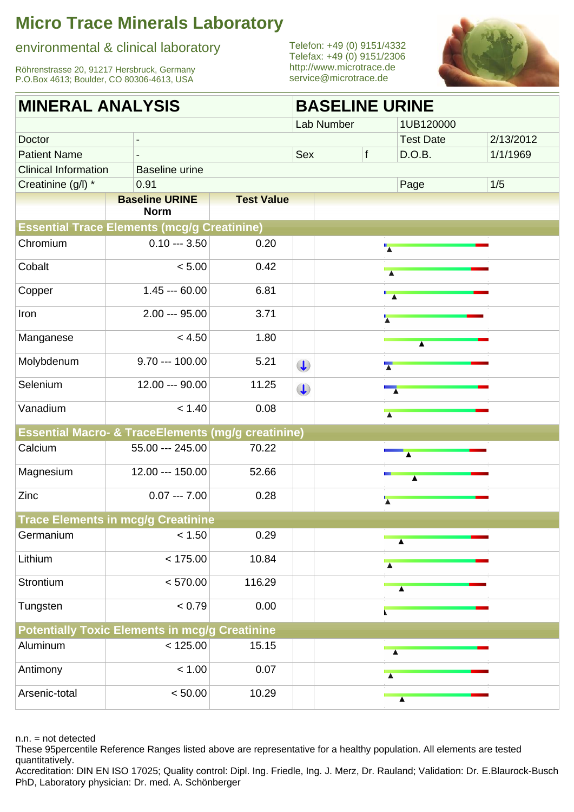environmental & clinical laboratory

Röhrenstrasse 20, 91217 Hersbruck, Germany P.O.Box 4613; Boulder, CO 80306-4613, USA

Telefon: +49 (0) 9151/4332 Telefax: +49 (0) 9151/2306 <http://www.microtrace.de> service@microtrace.de



| <b>MINERAL ANALYSIS</b>     |                                                               |                   | <b>BASELINE URINE</b> |            |                             |                             |           |  |
|-----------------------------|---------------------------------------------------------------|-------------------|-----------------------|------------|-----------------------------|-----------------------------|-----------|--|
|                             |                                                               |                   |                       | Lab Number |                             | 1UB120000                   |           |  |
| Doctor                      |                                                               |                   |                       |            |                             | <b>Test Date</b>            | 2/13/2012 |  |
| <b>Patient Name</b>         |                                                               |                   | Sex                   |            | f                           | D.O.B.                      | 1/1/1969  |  |
| <b>Clinical Information</b> | <b>Baseline urine</b>                                         |                   |                       |            |                             |                             |           |  |
| Creatinine (g/l) *          | 0.91                                                          |                   |                       |            |                             | Page                        | 1/5       |  |
|                             | <b>Baseline URINE</b>                                         | <b>Test Value</b> |                       |            |                             |                             |           |  |
|                             | <b>Norm</b>                                                   |                   |                       |            |                             |                             |           |  |
|                             | <b>Essential Trace Elements (mcg/g Creatinine)</b>            |                   |                       |            |                             |                             |           |  |
| Chromium                    | $0.10 - 3.50$                                                 | 0.20              |                       |            | $\overline{\phantom{a}}$    |                             |           |  |
| Cobalt                      | < 5.00                                                        | 0.42              |                       |            |                             |                             |           |  |
| Copper                      | $1.45 - 60.00$                                                | 6.81              |                       |            | $\overline{\phantom{a}}$    |                             |           |  |
| Iron                        | $2.00 - 95.00$                                                | 3.71              |                       |            | $\overline{\textbf{A}}$     |                             |           |  |
| Manganese                   | < 4.50                                                        | 1.80              |                       |            |                             |                             |           |  |
| Molybdenum                  | $9.70 - 100.00$                                               | 5.21              | $\bigcup$             |            | $\overline{\blacktriangle}$ |                             |           |  |
| Selenium                    | 12.00 --- 90.00                                               | 11.25             | $\bigcup$             |            | $\overline{\phantom{a}}$    |                             |           |  |
| Vanadium                    | < 1.40                                                        | 0.08              |                       |            |                             |                             |           |  |
|                             | <b>Essential Macro- &amp; TraceElements (mg/g creatinine)</b> |                   |                       |            |                             |                             |           |  |
| Calcium                     | 55.00 --- 245.00                                              | 70.22             |                       |            |                             | A                           |           |  |
| Magnesium                   | 12.00 --- 150.00                                              | 52.66             |                       |            |                             | $\blacktriangle$            |           |  |
| Zinc                        | $0.07 -- 7.00$                                                | 0.28              |                       |            | $\overline{\textbf{A}}$     |                             |           |  |
|                             | <b>Trace Elements in mcg/g Creatinine</b>                     |                   |                       |            |                             |                             |           |  |
| Germanium                   | < 1.50                                                        | 0.29              |                       |            |                             | $\blacktriangle$            |           |  |
| Lithium                     | < 175.00                                                      | 10.84             |                       |            |                             |                             |           |  |
| Strontium                   | < 570.00                                                      | 116.29            |                       |            |                             | $\overline{\blacktriangle}$ |           |  |
| Tungsten                    | < 0.79                                                        | 0.00              |                       |            |                             |                             |           |  |
|                             | <b>Potentially Toxic Elements in mcg/g Creatinine</b>         |                   |                       |            |                             |                             |           |  |
| Aluminum                    | < 125.00                                                      | 15.15             |                       |            |                             | $\overline{\blacktriangle}$ |           |  |
| Antimony                    | < 1.00                                                        | 0.07              |                       |            |                             |                             |           |  |
| Arsenic-total               | < 50.00                                                       | 10.29             |                       |            |                             | $\blacktriangle$            |           |  |
|                             |                                                               |                   |                       |            |                             |                             |           |  |

n.n. = not detected

These 95percentile Reference Ranges listed above are representative for a healthy population. All elements are tested quantitatively.

Accreditation: DIN EN ISO 17025; Quality control: Dipl. Ing. Friedle, Ing. J. Merz, Dr. Rauland; Validation: Dr. E.Blaurock-Busch PhD, Laboratory physician: Dr. med. A. Schönberger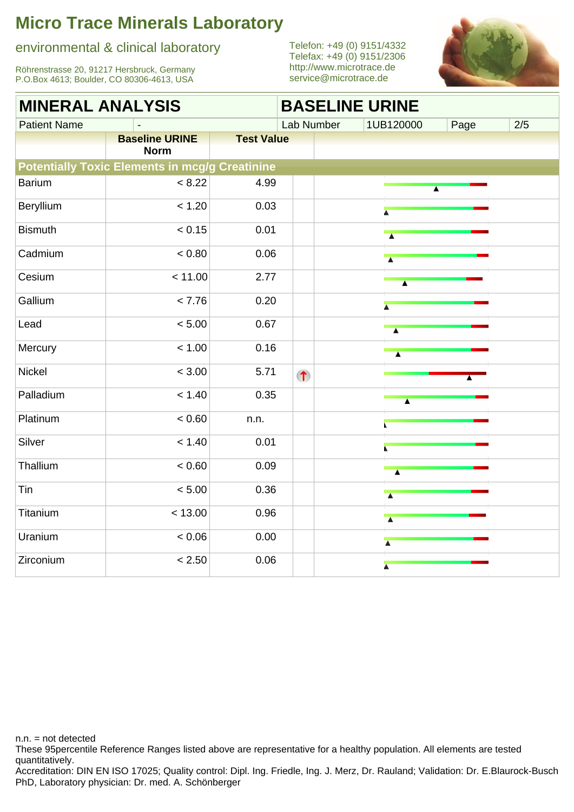#### environmental & clinical laboratory

Röhrenstrasse 20, 91217 Hersbruck, Germany P.O.Box 4613; Boulder, CO 80306-4613, USA

Telefon: +49 (0) 9151/4332 Telefax: +49 (0) 9151/2306 <http://www.microtrace.de> service@microtrace.de



| <b>MINERAL ANALYSIS</b><br><b>BASELINE URINE</b> |                                                       |                   |            |  |                             |      |     |
|--------------------------------------------------|-------------------------------------------------------|-------------------|------------|--|-----------------------------|------|-----|
| <b>Patient Name</b>                              |                                                       |                   | Lab Number |  | 1UB120000                   | Page | 2/5 |
|                                                  | <b>Baseline URINE</b><br><b>Norm</b>                  | <b>Test Value</b> |            |  |                             |      |     |
|                                                  | <b>Potentially Toxic Elements in mcg/g Creatinine</b> |                   |            |  |                             |      |     |
| <b>Barium</b>                                    | < 8.22                                                | 4.99              |            |  | $\blacktriangle$            |      |     |
| Beryllium                                        | < 1.20                                                | 0.03              |            |  |                             |      |     |
| <b>Bismuth</b>                                   | < 0.15                                                | 0.01              |            |  |                             |      |     |
| Cadmium                                          | < 0.80                                                | 0.06              |            |  | $\overline{\blacktriangle}$ |      |     |
| Cesium                                           | < 11.00                                               | 2.77              |            |  |                             |      |     |
| Gallium                                          | < 7.76                                                | 0.20              |            |  | $\blacktriangle$            |      |     |
| Lead                                             | < 5.00                                                | 0.67              |            |  | $\overline{\blacktriangle}$ |      |     |
| Mercury                                          | < 1.00                                                | 0.16              |            |  | $\overline{\blacktriangle}$ |      |     |
| Nickel                                           | < 3.00                                                | 5.71              | $\bullet$  |  |                             |      |     |
| Palladium                                        | < 1.40                                                | 0.35              |            |  |                             |      |     |
| Platinum                                         | < 0.60                                                | n.n.              |            |  |                             |      |     |
| Silver                                           | < 1.40                                                | 0.01              |            |  |                             |      |     |
| Thallium                                         | < 0.60                                                | 0.09              |            |  |                             |      |     |
| Tin                                              | < 5.00                                                | 0.36              |            |  | $\overline{\blacktriangle}$ |      |     |
| Titanium                                         | < 13.00                                               | 0.96              |            |  | $\overline{\phantom{a}}$    |      |     |
| Uranium                                          | 0.06                                                  | 0.00              |            |  | $\overline{\blacktriangle}$ |      |     |
| Zirconium                                        | < 2.50                                                | 0.06              |            |  | $\blacktriangle$            |      |     |

n.n. = not detected

These 95percentile Reference Ranges listed above are representative for a healthy population. All elements are tested quantitatively.

Accreditation: DIN EN ISO 17025; Quality control: Dipl. Ing. Friedle, Ing. J. Merz, Dr. Rauland; Validation: Dr. E.Blaurock-Busch PhD, Laboratory physician: Dr. med. A. Schönberger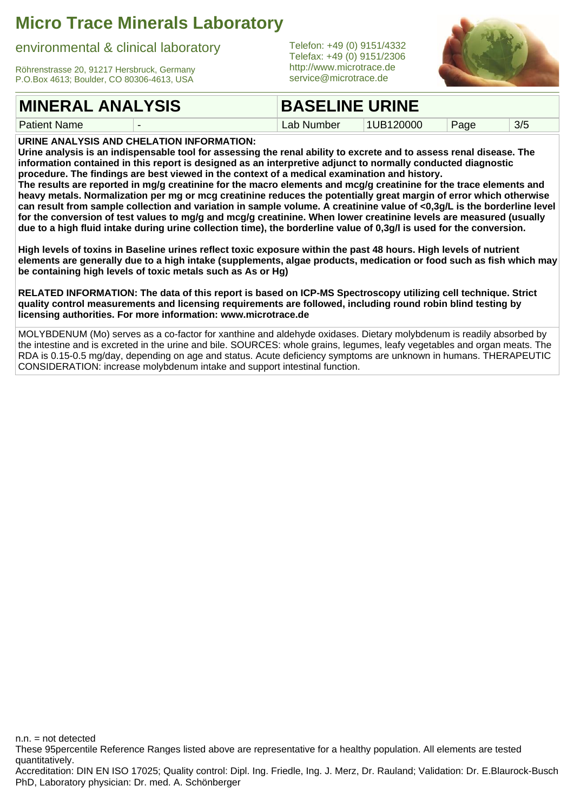environmental & clinical laboratory

Röhrenstrasse 20, 91217 Hersbruck, Germany P.O.Box 4613; Boulder, CO 80306-4613, USA

#### **MINERAL ANALYSIS**

Patient Name

Telefon: +49 (0) 9151/4332 Telefax: +49 (0) 9151/2306 <http://www.microtrace.de> service@microtrace.de



**BASELINE URINE**

Lab Number | 1UB120000 | Page | 3/5

**URINE ANALYSIS AND CHELATION INFORMATION:**

**Urine analysis is an indispensable tool for assessing the renal ability to excrete and to assess renal disease. The information contained in this report is designed as an interpretive adjunct to normally conducted diagnostic procedure. The findings are best viewed in the context of a medical examination and history.**

**The results are reported in mg/g creatinine for the macro elements and mcg/g creatinine for the trace elements and heavy metals. Normalization per mg or mcg creatinine reduces the potentially great margin of error which otherwise can result from sample collection and variation in sample volume. A creatinine value of <0,3g/L is the borderline level for the conversion of test values to mg/g and mcg/g creatinine. When lower creatinine levels are measured (usually due to a high fluid intake during urine collection time), the borderline value of 0,3g/l is used for the conversion.**

**High levels of toxins in Baseline urines reflect toxic exposure within the past 48 hours. High levels of nutrient elements are generally due to a high intake (supplements, algae products, medication or food such as fish which may be containing high levels of toxic metals such as As or Hg)**

**RELATED INFORMATION: The data of this report is based on ICP-MS Spectroscopy utilizing cell technique. Strict quality control measurements and licensing requirements are followed, including round robin blind testing by licensing authorities. For more information: www.microtrace.de**

MOLYBDENUM (Mo) serves as a co-factor for xanthine and aldehyde oxidases. Dietary molybdenum is readily absorbed by the intestine and is excreted in the urine and bile. SOURCES: whole grains, legumes, leafy vegetables and organ meats. The RDA is 0.15-0.5 mg/day, depending on age and status. Acute deficiency symptoms are unknown in humans. THERAPEUTIC CONSIDERATION: increase molybdenum intake and support intestinal function.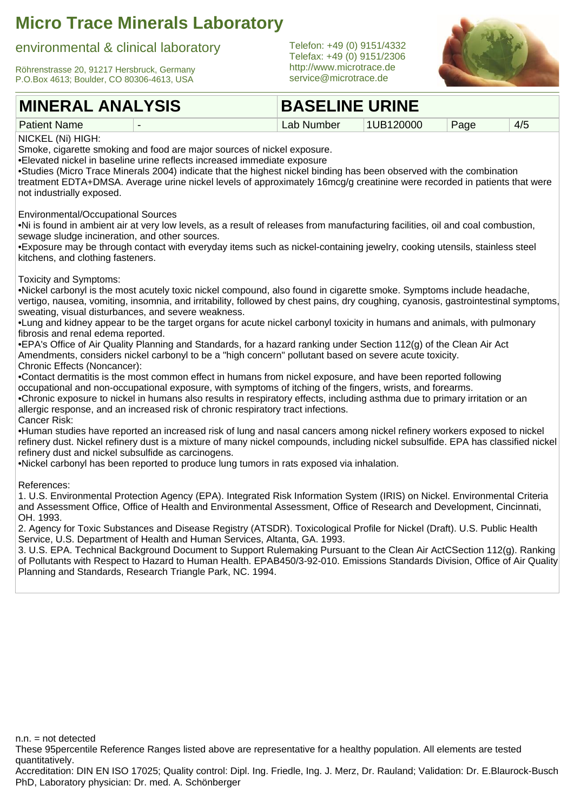#### environmental & clinical laboratory

Röhrenstrasse 20, 91217 Hersbruck, Germany P.O.Box 4613; Boulder, CO 80306-4613, USA

#### **MINERAL ANALYSIS**

Telefon: +49 (0) 9151/4332 Telefax: +49 (0) 9151/2306 <http://www.microtrace.de> service@microtrace.de



#### Patient Name **BASELINE URINE** Lab Number | 1UB120000 | Page | 4/5 NICKEL (Ni) HIGH: Smoke, cigarette smoking and food are major sources of nickel exposure. •Elevated nickel in baseline urine reflects increased immediate exposure •Studies (Micro Trace Minerals 2004) indicate that the highest nickel binding has been observed with the combination treatment EDTA+DMSA. Average urine nickel levels of approximately 16mcg/g creatinine were recorded in patients that were not industrially exposed. Environmental/Occupational Sources •Ni is found in ambient air at very low levels, as a result of releases from manufacturing facilities, oil and coal combustion, sewage sludge incineration, and other sources. •Exposure may be through contact with everyday items such as nickel-containing jewelry, cooking utensils, stainless steel kitchens, and clothing fasteners. Toxicity and Symptoms: •Nickel carbonyl is the most acutely toxic nickel compound, also found in cigarette smoke. Symptoms include headache, vertigo, nausea, vomiting, insomnia, and irritability, followed by chest pains, dry coughing, cyanosis, gastrointestinal symptoms, sweating, visual disturbances, and severe weakness. •Lung and kidney appear to be the target organs for acute nickel carbonyl toxicity in humans and animals, with pulmonary fibrosis and renal edema reported. •EPA's Office of Air Quality Planning and Standards, for a hazard ranking under Section 112(g) of the Clean Air Act Amendments, considers nickel carbonyl to be a "high concern" pollutant based on severe acute toxicity. Chronic Effects (Noncancer): •Contact dermatitis is the most common effect in humans from nickel exposure, and have been reported following occupational and non-occupational exposure, with symptoms of itching of the fingers, wrists, and forearms. •Chronic exposure to nickel in humans also results in respiratory effects, including asthma due to primary irritation or an allergic response, and an increased risk of chronic respiratory tract infections. Cancer Risk: •Human studies have reported an increased risk of lung and nasal cancers among nickel refinery workers exposed to nickel refinery dust. Nickel refinery dust is a mixture of many nickel compounds, including nickel subsulfide. EPA has classified nickel refinery dust and nickel subsulfide as carcinogens. •Nickel carbonyl has been reported to produce lung tumors in rats exposed via inhalation.

References:

1. U.S. Environmental Protection Agency (EPA). Integrated Risk Information System (IRIS) on Nickel. Environmental Criteria and Assessment Office, Office of Health and Environmental Assessment, Office of Research and Development, Cincinnati, OH. 1993.

2. Agency for Toxic Substances and Disease Registry (ATSDR). Toxicological Profile for Nickel (Draft). U.S. Public Health Service, U.S. Department of Health and Human Services, Altanta, GA. 1993.

3. U.S. EPA. Technical Background Document to Support Rulemaking Pursuant to the Clean Air ActCSection 112(g). Ranking of Pollutants with Respect to Hazard to Human Health. EPAB450/3-92-010. Emissions Standards Division, Office of Air Quality Planning and Standards, Research Triangle Park, NC. 1994.

 $n.n.$  = not detected

These 95percentile Reference Ranges listed above are representative for a healthy population. All elements are tested quantitatively.

Accreditation: DIN EN ISO 17025; Quality control: Dipl. Ing. Friedle, Ing. J. Merz, Dr. Rauland; Validation: Dr. E.Blaurock-Busch PhD, Laboratory physician: Dr. med. A. Schönberger